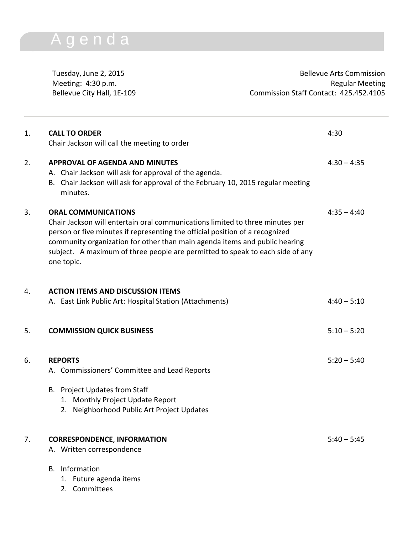## A g e n d a

Tuesday, June 2, 2015 **Bellevue Arts Commission** Meeting: 4:30 p.m. **Regular Meeting** Bellevue City Hall, 1E-109 Commission Staff Contact: 425.452.4105

| 1. | <b>CALL TO ORDER</b><br>Chair Jackson will call the meeting to order                                                                                                                                                                                                                                                                                                     | 4:30          |
|----|--------------------------------------------------------------------------------------------------------------------------------------------------------------------------------------------------------------------------------------------------------------------------------------------------------------------------------------------------------------------------|---------------|
| 2. | <b>APPROVAL OF AGENDA AND MINUTES</b><br>A. Chair Jackson will ask for approval of the agenda.<br>Chair Jackson will ask for approval of the February 10, 2015 regular meeting<br>В.<br>minutes.                                                                                                                                                                         | $4:30 - 4:35$ |
| 3. | <b>ORAL COMMUNICATIONS</b><br>Chair Jackson will entertain oral communications limited to three minutes per<br>person or five minutes if representing the official position of a recognized<br>community organization for other than main agenda items and public hearing<br>subject. A maximum of three people are permitted to speak to each side of any<br>one topic. | $4:35 - 4:40$ |
| 4. | <b>ACTION ITEMS AND DISCUSSION ITEMS</b><br>A. East Link Public Art: Hospital Station (Attachments)                                                                                                                                                                                                                                                                      | $4:40 - 5:10$ |
| 5. | <b>COMMISSION QUICK BUSINESS</b>                                                                                                                                                                                                                                                                                                                                         | $5:10 - 5:20$ |
| 6. | <b>REPORTS</b><br>A. Commissioners' Committee and Lead Reports<br>B. Project Updates from Staff<br>1. Monthly Project Update Report<br>Neighborhood Public Art Project Updates<br>2.                                                                                                                                                                                     | $5:20 - 5:40$ |
| 7. | <b>CORRESPONDENCE, INFORMATION</b><br>A. Written correspondence<br><b>B.</b> Information<br>1. Future agenda items<br>2. Committees                                                                                                                                                                                                                                      | $5:40 - 5:45$ |